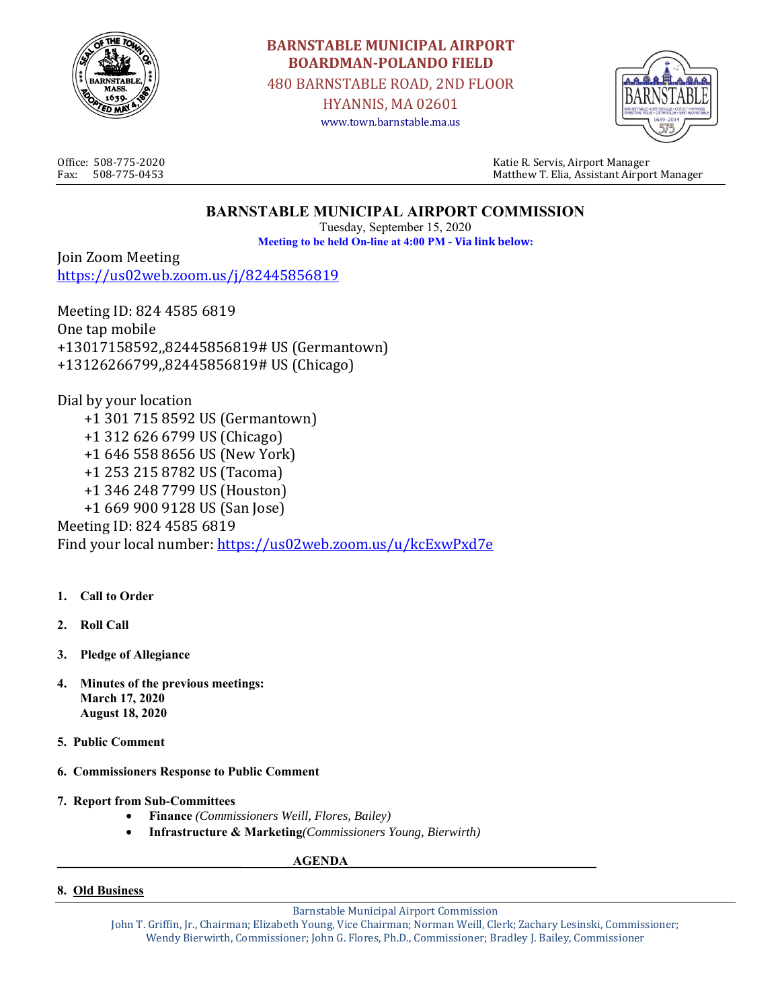

# **BARNSTABLE MUNICIPAL AIRPORT BOARDMAN-POLANDO FIELD**

480 BARNSTABLE ROAD, 2ND FLOOR

HYANNIS, MA 02601 www.town.barnstable.ma.us



Office: 508-775-2020 Katie R. Servis, Airport Manager Fax: 508-775-0453 Matthew T. Elia, Assistant Airport Manager

# **BARNSTABLE MUNICIPAL AIRPORT COMMISSION**

Tuesday, September 15, 2020 **Meeting to be held On-line at 4:00 PM - Via link below:** 

Join Zoom Meeting https://us02web.zoom.us/j/82445856819

Meeting ID: 824 4585 6819 One tap mobile +13017158592,,82445856819# US (Germantown) +13126266799,,82445856819# US (Chicago)

Dial by your location +1 301 715 8592 US (Germantown) +1 312 626 6799 US (Chicago) +1 646 558 8656 US (New York) +1 253 215 8782 US (Tacoma) +1 346 248 7799 US (Houston) +1 669 900 9128 US (San Jose) Meeting ID: 824 4585 6819 Find your local number: https://us02web.zoom.us/u/kcExwPxd7e

- **1. Call to Order**
- **2. Roll Call**
- **3. Pledge of Allegiance**
- **4. Minutes of the previous meetings: March 17, 2020 August 18, 2020**
- **5. Public Comment**
- **6. Commissioners Response to Public Comment**
- **7. Report from Sub-Committees** 
	- **Finance** *(Commissioners Weill, Flores, Bailey)*
	- **Infrastructure & Marketing***(Commissioners Young, Bierwirth)*

**AGENDA** 

**8. Old Business** 

Barnstable Municipal Airport Commission

John T. Griffin, Jr., Chairman; Elizabeth Young, Vice Chairman; Norman Weill, Clerk; Zachary Lesinski, Commissioner; Wendy Bierwirth, Commissioner; John G. Flores, Ph.D., Commissioner; Bradley J. Bailey, Commissioner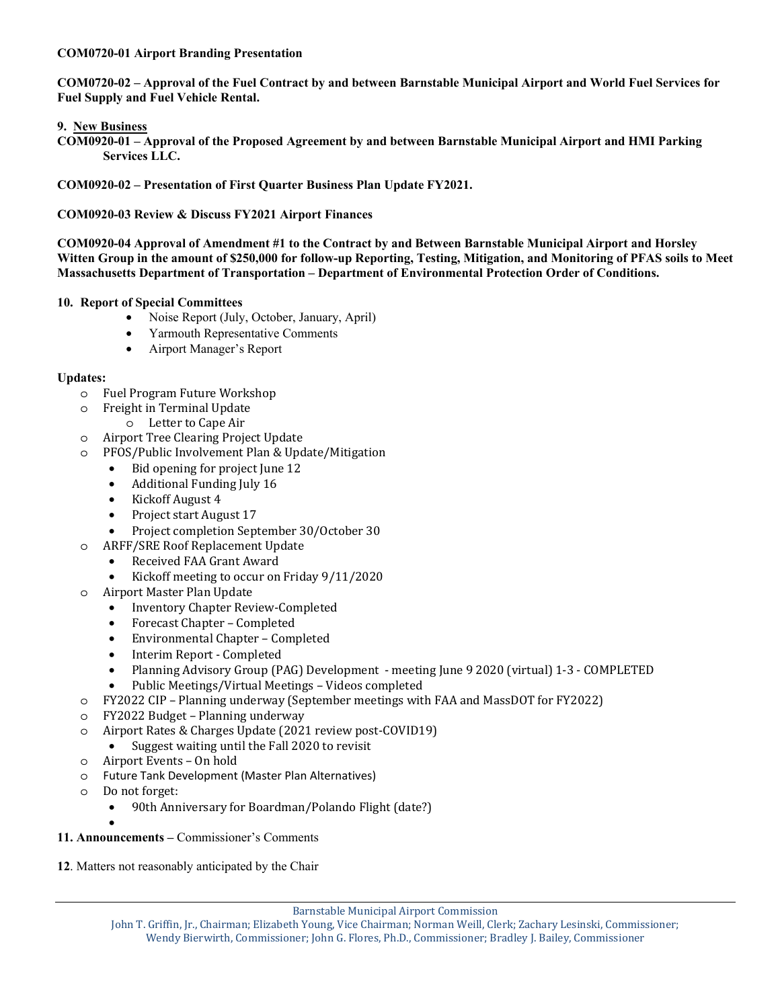#### **COM0720-01 Airport Branding Presentation**

**COM0720-02 – Approval of the Fuel Contract by and between Barnstable Municipal Airport and World Fuel Services for Fuel Supply and Fuel Vehicle Rental.** 

#### **9. New Business**

**COM0920-01 – Approval of the Proposed Agreement by and between Barnstable Municipal Airport and HMI Parking Services LLC.** 

**COM0920-02 – Presentation of First Quarter Business Plan Update FY2021.** 

**COM0920-03 Review & Discuss FY2021 Airport Finances** 

**COM0920-04 Approval of Amendment #1 to the Contract by and Between Barnstable Municipal Airport and Horsley Witten Group in the amount of \$250,000 for follow-up Reporting, Testing, Mitigation, and Monitoring of PFAS soils to Meet Massachusetts Department of Transportation – Department of Environmental Protection Order of Conditions.** 

#### **10. Report of Special Committees**

- Noise Report (July, October, January, April)
- Yarmouth Representative Comments
- Airport Manager's Report

#### **Updates:**

- o Fuel Program Future Workshop
- o Freight in Terminal Update
	- o Letter to Cape Air
- o Airport Tree Clearing Project Update
- o PFOS/Public Involvement Plan & Update/Mitigation
	- Bid opening for project June 12
	- Additional Funding July 16
	- Kickoff August 4
	- Project start August 17
	- Project completion September 30/October 30
- o ARFF/SRE Roof Replacement Update
	- Received FAA Grant Award
	- Kickoff meeting to occur on Friday 9/11/2020
- o Airport Master Plan Update
	- Inventory Chapter Review-Completed
	- Forecast Chapter Completed
	- Environmental Chapter Completed
	- Interim Report Completed
	- Planning Advisory Group (PAG) Development meeting June 9 2020 (virtual) 1-3 COMPLETED
	- Public Meetings/Virtual Meetings Videos completed
- o FY2022 CIP Planning underway (September meetings with FAA and MassDOT for FY2022)
- o FY2022 Budget Planning underway
- o Airport Rates & Charges Update (2021 review post-COVID19)
	- Suggest waiting until the Fall 2020 to revisit
- o Airport Events On hold
- o Future Tank Development (Master Plan Alternatives)
- o Do not forget:
	- 90th Anniversary for Boardman/Polando Flight (date?)
	- •
- **11. Announcements** Commissioner's Comments
- **12**. Matters not reasonably anticipated by the Chair

Barnstable Municipal Airport Commission

John T. Griffin, Jr., Chairman; Elizabeth Young, Vice Chairman; Norman Weill, Clerk; Zachary Lesinski, Commissioner; Wendy Bierwirth, Commissioner; John G. Flores, Ph.D., Commissioner; Bradley J. Bailey, Commissioner